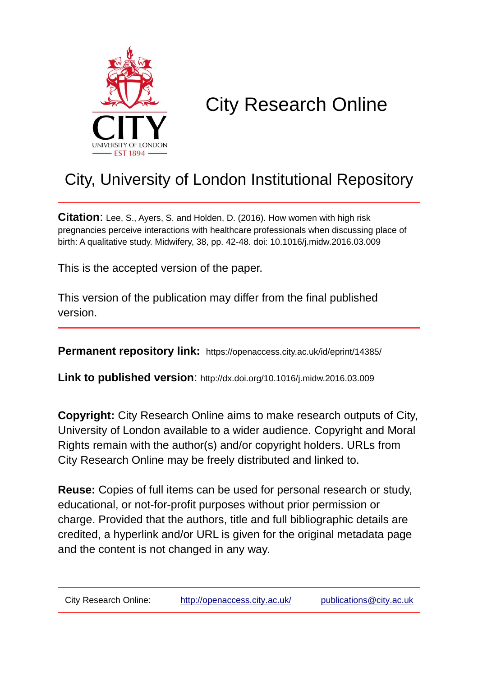

# City Research Online

## City, University of London Institutional Repository

**Citation**: Lee, S., Ayers, S. and Holden, D. (2016). How women with high risk pregnancies perceive interactions with healthcare professionals when discussing place of birth: A qualitative study. Midwifery, 38, pp. 42-48. doi: 10.1016/j.midw.2016.03.009

This is the accepted version of the paper.

This version of the publication may differ from the final published version.

**Permanent repository link:** https://openaccess.city.ac.uk/id/eprint/14385/

**Link to published version**: http://dx.doi.org/10.1016/j.midw.2016.03.009

**Copyright:** City Research Online aims to make research outputs of City, University of London available to a wider audience. Copyright and Moral Rights remain with the author(s) and/or copyright holders. URLs from City Research Online may be freely distributed and linked to.

**Reuse:** Copies of full items can be used for personal research or study, educational, or not-for-profit purposes without prior permission or charge. Provided that the authors, title and full bibliographic details are credited, a hyperlink and/or URL is given for the original metadata page and the content is not changed in any way.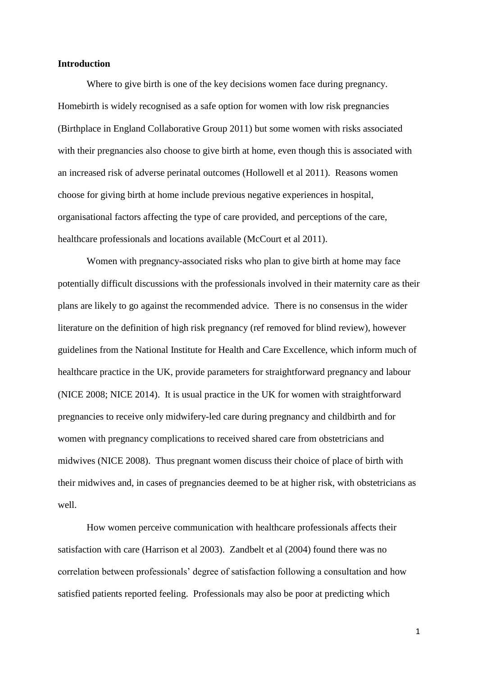#### **Introduction**

Where to give birth is one of the key decisions women face during pregnancy. Homebirth is widely recognised as a safe option for women with low risk pregnancies (Birthplace in England Collaborative Group 2011) but some women with risks associated with their pregnancies also choose to give birth at home, even though this is associated with an increased risk of adverse perinatal outcomes (Hollowell et al 2011). Reasons women choose for giving birth at home include previous negative experiences in hospital, organisational factors affecting the type of care provided, and perceptions of the care, healthcare professionals and locations available (McCourt et al 2011).

Women with pregnancy-associated risks who plan to give birth at home may face potentially difficult discussions with the professionals involved in their maternity care as their plans are likely to go against the recommended advice. There is no consensus in the wider literature on the definition of high risk pregnancy (ref removed for blind review), however guidelines from the National Institute for Health and Care Excellence, which inform much of healthcare practice in the UK, provide parameters for straightforward pregnancy and labour (NICE 2008; NICE 2014). It is usual practice in the UK for women with straightforward pregnancies to receive only midwifery-led care during pregnancy and childbirth and for women with pregnancy complications to received shared care from obstetricians and midwives (NICE 2008). Thus pregnant women discuss their choice of place of birth with their midwives and, in cases of pregnancies deemed to be at higher risk, with obstetricians as well.

How women perceive communication with healthcare professionals affects their satisfaction with care (Harrison et al 2003). Zandbelt et al (2004) found there was no correlation between professionals' degree of satisfaction following a consultation and how satisfied patients reported feeling. Professionals may also be poor at predicting which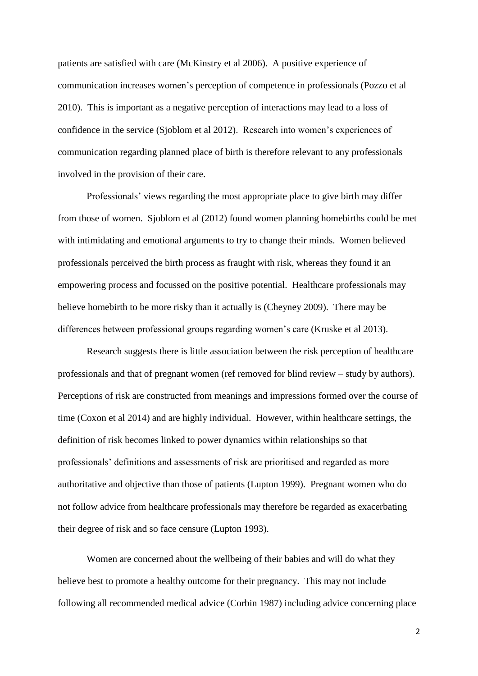patients are satisfied with care (McKinstry et al 2006). A positive experience of communication increases women's perception of competence in professionals (Pozzo et al 2010). This is important as a negative perception of interactions may lead to a loss of confidence in the service (Sjoblom et al 2012). Research into women's experiences of communication regarding planned place of birth is therefore relevant to any professionals involved in the provision of their care.

Professionals' views regarding the most appropriate place to give birth may differ from those of women. Sjoblom et al (2012) found women planning homebirths could be met with intimidating and emotional arguments to try to change their minds. Women believed professionals perceived the birth process as fraught with risk, whereas they found it an empowering process and focussed on the positive potential. Healthcare professionals may believe homebirth to be more risky than it actually is (Cheyney 2009). There may be differences between professional groups regarding women's care (Kruske et al 2013).

Research suggests there is little association between the risk perception of healthcare professionals and that of pregnant women (ref removed for blind review – study by authors). Perceptions of risk are constructed from meanings and impressions formed over the course of time (Coxon et al 2014) and are highly individual. However, within healthcare settings, the definition of risk becomes linked to power dynamics within relationships so that professionals' definitions and assessments of risk are prioritised and regarded as more authoritative and objective than those of patients (Lupton 1999). Pregnant women who do not follow advice from healthcare professionals may therefore be regarded as exacerbating their degree of risk and so face censure (Lupton 1993).

Women are concerned about the wellbeing of their babies and will do what they believe best to promote a healthy outcome for their pregnancy. This may not include following all recommended medical advice (Corbin 1987) including advice concerning place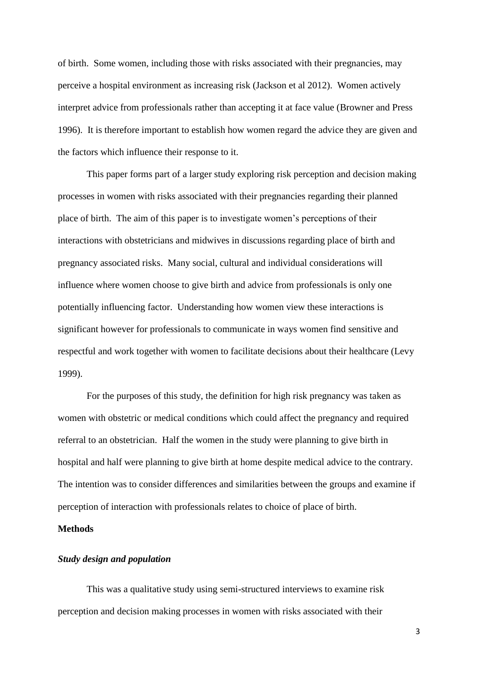of birth. Some women, including those with risks associated with their pregnancies, may perceive a hospital environment as increasing risk (Jackson et al 2012). Women actively interpret advice from professionals rather than accepting it at face value (Browner and Press 1996). It is therefore important to establish how women regard the advice they are given and the factors which influence their response to it.

This paper forms part of a larger study exploring risk perception and decision making processes in women with risks associated with their pregnancies regarding their planned place of birth. The aim of this paper is to investigate women's perceptions of their interactions with obstetricians and midwives in discussions regarding place of birth and pregnancy associated risks. Many social, cultural and individual considerations will influence where women choose to give birth and advice from professionals is only one potentially influencing factor. Understanding how women view these interactions is significant however for professionals to communicate in ways women find sensitive and respectful and work together with women to facilitate decisions about their healthcare (Levy 1999).

For the purposes of this study, the definition for high risk pregnancy was taken as women with obstetric or medical conditions which could affect the pregnancy and required referral to an obstetrician. Half the women in the study were planning to give birth in hospital and half were planning to give birth at home despite medical advice to the contrary. The intention was to consider differences and similarities between the groups and examine if perception of interaction with professionals relates to choice of place of birth.

#### **Methods**

#### *Study design and population*

This was a qualitative study using semi-structured interviews to examine risk perception and decision making processes in women with risks associated with their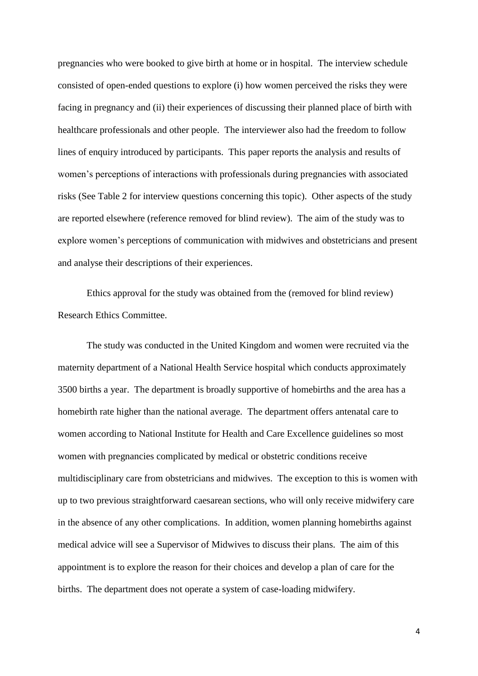pregnancies who were booked to give birth at home or in hospital. The interview schedule consisted of open-ended questions to explore (i) how women perceived the risks they were facing in pregnancy and (ii) their experiences of discussing their planned place of birth with healthcare professionals and other people. The interviewer also had the freedom to follow lines of enquiry introduced by participants. This paper reports the analysis and results of women's perceptions of interactions with professionals during pregnancies with associated risks (See Table 2 for interview questions concerning this topic). Other aspects of the study are reported elsewhere (reference removed for blind review). The aim of the study was to explore women's perceptions of communication with midwives and obstetricians and present and analyse their descriptions of their experiences.

Ethics approval for the study was obtained from the (removed for blind review) Research Ethics Committee.

The study was conducted in the United Kingdom and women were recruited via the maternity department of a National Health Service hospital which conducts approximately 3500 births a year. The department is broadly supportive of homebirths and the area has a homebirth rate higher than the national average. The department offers antenatal care to women according to National Institute for Health and Care Excellence guidelines so most women with pregnancies complicated by medical or obstetric conditions receive multidisciplinary care from obstetricians and midwives. The exception to this is women with up to two previous straightforward caesarean sections, who will only receive midwifery care in the absence of any other complications. In addition, women planning homebirths against medical advice will see a Supervisor of Midwives to discuss their plans. The aim of this appointment is to explore the reason for their choices and develop a plan of care for the births. The department does not operate a system of case-loading midwifery.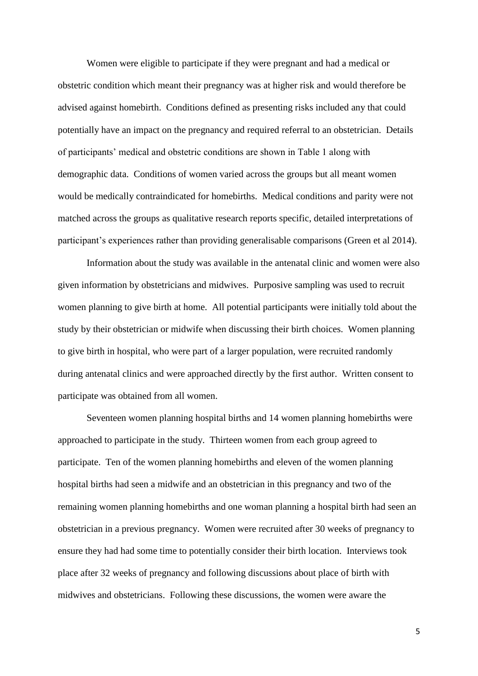Women were eligible to participate if they were pregnant and had a medical or obstetric condition which meant their pregnancy was at higher risk and would therefore be advised against homebirth. Conditions defined as presenting risks included any that could potentially have an impact on the pregnancy and required referral to an obstetrician. Details of participants' medical and obstetric conditions are shown in Table 1 along with demographic data. Conditions of women varied across the groups but all meant women would be medically contraindicated for homebirths. Medical conditions and parity were not matched across the groups as qualitative research reports specific, detailed interpretations of participant's experiences rather than providing generalisable comparisons (Green et al 2014).

Information about the study was available in the antenatal clinic and women were also given information by obstetricians and midwives. Purposive sampling was used to recruit women planning to give birth at home. All potential participants were initially told about the study by their obstetrician or midwife when discussing their birth choices. Women planning to give birth in hospital, who were part of a larger population, were recruited randomly during antenatal clinics and were approached directly by the first author. Written consent to participate was obtained from all women.

Seventeen women planning hospital births and 14 women planning homebirths were approached to participate in the study. Thirteen women from each group agreed to participate. Ten of the women planning homebirths and eleven of the women planning hospital births had seen a midwife and an obstetrician in this pregnancy and two of the remaining women planning homebirths and one woman planning a hospital birth had seen an obstetrician in a previous pregnancy. Women were recruited after 30 weeks of pregnancy to ensure they had had some time to potentially consider their birth location. Interviews took place after 32 weeks of pregnancy and following discussions about place of birth with midwives and obstetricians. Following these discussions, the women were aware the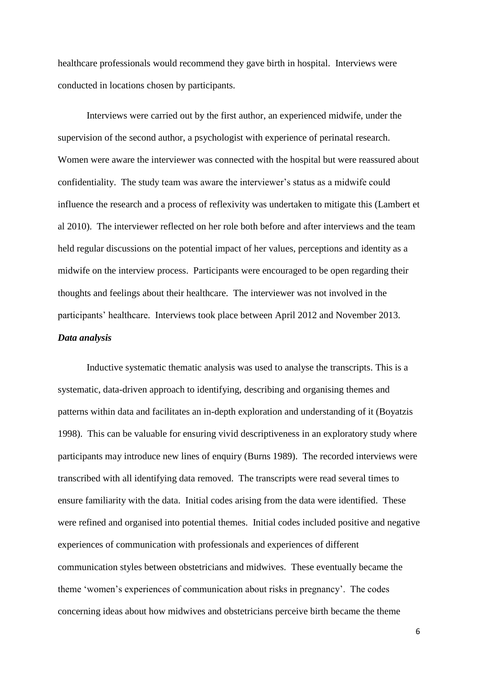healthcare professionals would recommend they gave birth in hospital. Interviews were conducted in locations chosen by participants.

Interviews were carried out by the first author, an experienced midwife, under the supervision of the second author, a psychologist with experience of perinatal research. Women were aware the interviewer was connected with the hospital but were reassured about confidentiality. The study team was aware the interviewer's status as a midwife could influence the research and a process of reflexivity was undertaken to mitigate this (Lambert et al 2010). The interviewer reflected on her role both before and after interviews and the team held regular discussions on the potential impact of her values, perceptions and identity as a midwife on the interview process. Participants were encouraged to be open regarding their thoughts and feelings about their healthcare. The interviewer was not involved in the participants' healthcare. Interviews took place between April 2012 and November 2013. *Data analysis* 

Inductive systematic thematic analysis was used to analyse the transcripts. This is a systematic, data-driven approach to identifying, describing and organising themes and patterns within data and facilitates an in-depth exploration and understanding of it (Boyatzis 1998). This can be valuable for ensuring vivid descriptiveness in an exploratory study where participants may introduce new lines of enquiry (Burns 1989). The recorded interviews were transcribed with all identifying data removed. The transcripts were read several times to ensure familiarity with the data. Initial codes arising from the data were identified. These were refined and organised into potential themes. Initial codes included positive and negative experiences of communication with professionals and experiences of different communication styles between obstetricians and midwives. These eventually became the theme 'women's experiences of communication about risks in pregnancy'. The codes concerning ideas about how midwives and obstetricians perceive birth became the theme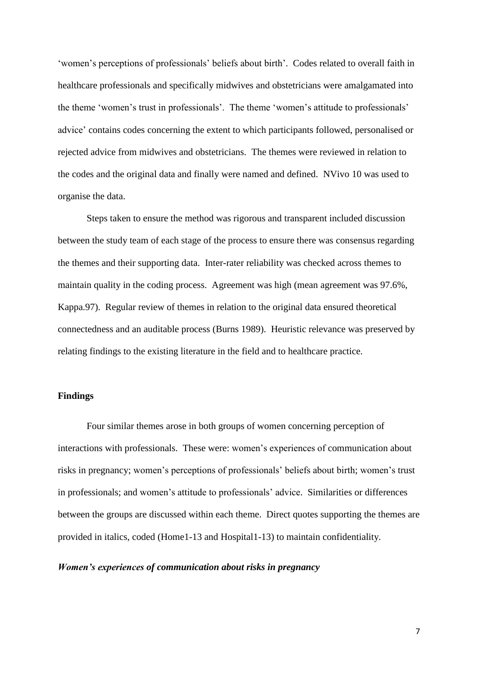'women's perceptions of professionals' beliefs about birth'. Codes related to overall faith in healthcare professionals and specifically midwives and obstetricians were amalgamated into the theme 'women's trust in professionals'. The theme 'women's attitude to professionals' advice' contains codes concerning the extent to which participants followed, personalised or rejected advice from midwives and obstetricians. The themes were reviewed in relation to the codes and the original data and finally were named and defined. NVivo 10 was used to organise the data.

Steps taken to ensure the method was rigorous and transparent included discussion between the study team of each stage of the process to ensure there was consensus regarding the themes and their supporting data. Inter-rater reliability was checked across themes to maintain quality in the coding process. Agreement was high (mean agreement was 97.6%, Kappa.97). Regular review of themes in relation to the original data ensured theoretical connectedness and an auditable process (Burns 1989). Heuristic relevance was preserved by relating findings to the existing literature in the field and to healthcare practice.

#### **Findings**

Four similar themes arose in both groups of women concerning perception of interactions with professionals. These were: women's experiences of communication about risks in pregnancy; women's perceptions of professionals' beliefs about birth; women's trust in professionals; and women's attitude to professionals' advice. Similarities or differences between the groups are discussed within each theme. Direct quotes supporting the themes are provided in italics, coded (Home1-13 and Hospital1-13) to maintain confidentiality.

#### *Women's experiences of communication about risks in pregnancy*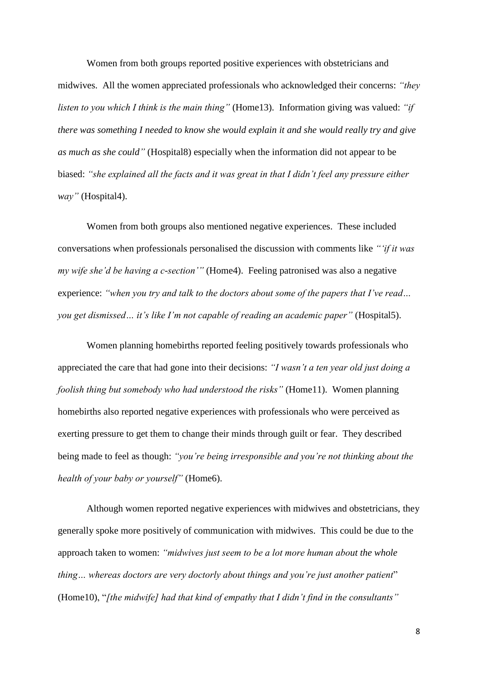Women from both groups reported positive experiences with obstetricians and midwives. All the women appreciated professionals who acknowledged their concerns: *"they listen to you which I think is the main thing"* (Home13). Information giving was valued: *"if there was something I needed to know she would explain it and she would really try and give as much as she could"* (Hospital8) especially when the information did not appear to be biased: *"she explained all the facts and it was great in that I didn't feel any pressure either way"* (Hospital4).

Women from both groups also mentioned negative experiences. These included conversations when professionals personalised the discussion with comments like *"'if it was my wife she'd be having a c-section'"* (Home4). Feeling patronised was also a negative experience: *"when you try and talk to the doctors about some of the papers that I've read… you get dismissed… it's like I'm not capable of reading an academic paper"* (Hospital5).

Women planning homebirths reported feeling positively towards professionals who appreciated the care that had gone into their decisions: *"I wasn't a ten year old just doing a foolish thing but somebody who had understood the risks"* (Home11). Women planning homebirths also reported negative experiences with professionals who were perceived as exerting pressure to get them to change their minds through guilt or fear. They described being made to feel as though: *"you're being irresponsible and you're not thinking about the health of your baby or yourself"* (Home6).

Although women reported negative experiences with midwives and obstetricians, they generally spoke more positively of communication with midwives. This could be due to the approach taken to women: *"midwives just seem to be a lot more human about the whole thing… whereas doctors are very doctorly about things and you're just another patient*" (Home10), "*[the midwife] had that kind of empathy that I didn't find in the consultants"*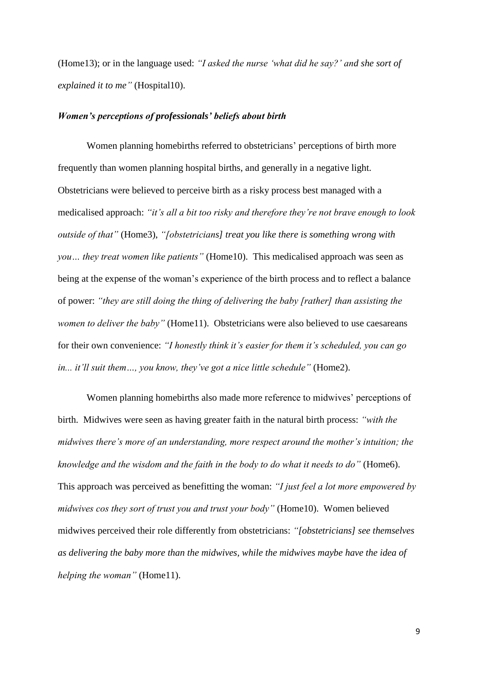(Home13); or in the language used: *"I asked the nurse 'what did he say?' and she sort of explained it to me"* (Hospital10).

#### *Women's perceptions of professionals' beliefs about birth*

Women planning homebirths referred to obstetricians' perceptions of birth more frequently than women planning hospital births, and generally in a negative light. Obstetricians were believed to perceive birth as a risky process best managed with a medicalised approach: *"it's all a bit too risky and therefore they're not brave enough to look outside of that"* (Home3), *"[obstetricians] treat you like there is something wrong with you… they treat women like patients"* (Home10). This medicalised approach was seen as being at the expense of the woman's experience of the birth process and to reflect a balance of power: *"they are still doing the thing of delivering the baby [rather] than assisting the women to deliver the baby*" (Home11). Obstetricians were also believed to use caesareans for their own convenience: *"I honestly think it's easier for them it's scheduled, you can go in... it'll suit them…, you know, they've got a nice little schedule"* (Home2).

Women planning homebirths also made more reference to midwives' perceptions of birth. Midwives were seen as having greater faith in the natural birth process: *"with the midwives there's more of an understanding, more respect around the mother's intuition; the knowledge and the wisdom and the faith in the body to do what it needs to do"* (Home6). This approach was perceived as benefitting the woman: *"I just feel a lot more empowered by midwives cos they sort of trust you and trust your body"* (Home10). Women believed midwives perceived their role differently from obstetricians: *"[obstetricians] see themselves as delivering the baby more than the midwives, while the midwives maybe have the idea of helping the woman"* (Home11).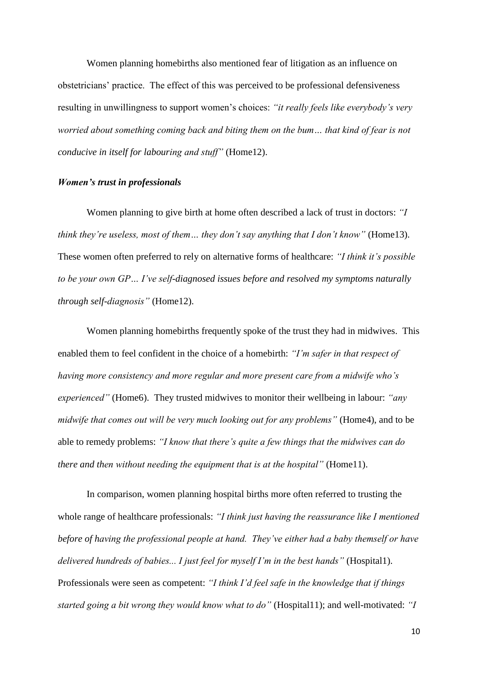Women planning homebirths also mentioned fear of litigation as an influence on obstetricians' practice. The effect of this was perceived to be professional defensiveness resulting in unwillingness to support women's choices: *"it really feels like everybody's very worried about something coming back and biting them on the bum… that kind of fear is not conducive in itself for labouring and stuff"* (Home12).

#### *Women's trust in professionals*

Women planning to give birth at home often described a lack of trust in doctors: *"I think they're useless, most of them… they don't say anything that I don't know"* (Home13). These women often preferred to rely on alternative forms of healthcare: *"I think it's possible to be your own GP… I've self-diagnosed issues before and resolved my symptoms naturally through self-diagnosis"* (Home12).

Women planning homebirths frequently spoke of the trust they had in midwives. This enabled them to feel confident in the choice of a homebirth: *"I'm safer in that respect of having more consistency and more regular and more present care from a midwife who's experienced"* (Home6). They trusted midwives to monitor their wellbeing in labour: *"any midwife that comes out will be very much looking out for any problems"* (Home4), and to be able to remedy problems: *"I know that there's quite a few things that the midwives can do there and then without needing the equipment that is at the hospital* " (Home11).

In comparison, women planning hospital births more often referred to trusting the whole range of healthcare professionals: *"I think just having the reassurance like I mentioned before of having the professional people at hand. They've either had a baby themself or have delivered hundreds of babies... I just feel for myself I'm in the best hands"* (Hospital1). Professionals were seen as competent: *"I think I'd feel safe in the knowledge that if things started going a bit wrong they would know what to do"* (Hospital11); and well-motivated: *"I*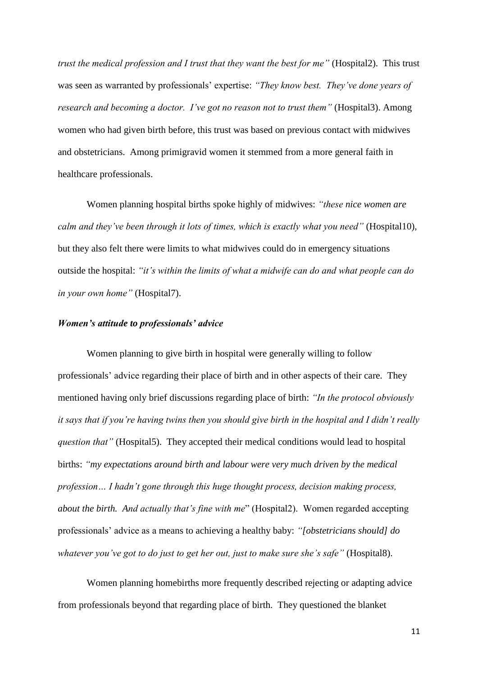*trust the medical profession and I trust that they want the best for me*" (Hospital2). This trust was seen as warranted by professionals' expertise: *"They know best. They've done years of research and becoming a doctor. I've got no reason not to trust them"* (Hospital3). Among women who had given birth before, this trust was based on previous contact with midwives and obstetricians. Among primigravid women it stemmed from a more general faith in healthcare professionals.

Women planning hospital births spoke highly of midwives: *"these nice women are calm and they've been through it lots of times, which is exactly what you need"* (Hospital10), but they also felt there were limits to what midwives could do in emergency situations outside the hospital: *"it's within the limits of what a midwife can do and what people can do in your own home"* (Hospital7).

#### *Women's attitude to professionals' advice*

Women planning to give birth in hospital were generally willing to follow professionals' advice regarding their place of birth and in other aspects of their care. They mentioned having only brief discussions regarding place of birth: *"In the protocol obviously it says that if you're having twins then you should give birth in the hospital and I didn't really question that"* (Hospital5). They accepted their medical conditions would lead to hospital births: *"my expectations around birth and labour were very much driven by the medical profession… I hadn't gone through this huge thought process, decision making process, about the birth. And actually that's fine with me*" (Hospital2). Women regarded accepting professionals' advice as a means to achieving a healthy baby: *"[obstetricians should] do whatever you've got to do just to get her out, just to make sure she's safe"* (Hospital8).

Women planning homebirths more frequently described rejecting or adapting advice from professionals beyond that regarding place of birth. They questioned the blanket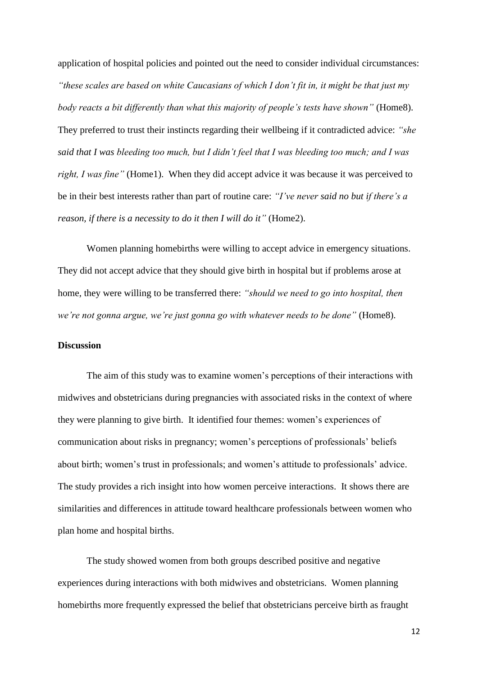application of hospital policies and pointed out the need to consider individual circumstances: *"these scales are based on white Caucasians of which I don't fit in, it might be that just my body reacts a bit differently than what this majority of people's tests have shown"* (Home8). They preferred to trust their instincts regarding their wellbeing if it contradicted advice: *"she said that I was bleeding too much, but I didn't feel that I was bleeding too much; and I was right, I was fine"* (Home1). When they did accept advice it was because it was perceived to be in their best interests rather than part of routine care: *"I've never said no but if there's a reason, if there is a necessity to do it then I will do it"* (Home2).

Women planning homebirths were willing to accept advice in emergency situations. They did not accept advice that they should give birth in hospital but if problems arose at home, they were willing to be transferred there: *"should we need to go into hospital, then we're not gonna argue, we're just gonna go with whatever needs to be done"* (Home8).

#### **Discussion**

The aim of this study was to examine women's perceptions of their interactions with midwives and obstetricians during pregnancies with associated risks in the context of where they were planning to give birth. It identified four themes: women's experiences of communication about risks in pregnancy; women's perceptions of professionals' beliefs about birth; women's trust in professionals; and women's attitude to professionals' advice. The study provides a rich insight into how women perceive interactions. It shows there are similarities and differences in attitude toward healthcare professionals between women who plan home and hospital births.

The study showed women from both groups described positive and negative experiences during interactions with both midwives and obstetricians. Women planning homebirths more frequently expressed the belief that obstetricians perceive birth as fraught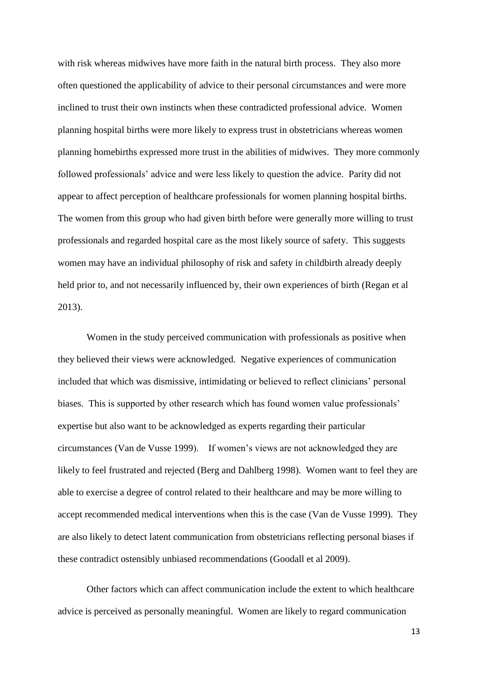with risk whereas midwives have more faith in the natural birth process. They also more often questioned the applicability of advice to their personal circumstances and were more inclined to trust their own instincts when these contradicted professional advice. Women planning hospital births were more likely to express trust in obstetricians whereas women planning homebirths expressed more trust in the abilities of midwives. They more commonly followed professionals' advice and were less likely to question the advice. Parity did not appear to affect perception of healthcare professionals for women planning hospital births. The women from this group who had given birth before were generally more willing to trust professionals and regarded hospital care as the most likely source of safety. This suggests women may have an individual philosophy of risk and safety in childbirth already deeply held prior to, and not necessarily influenced by, their own experiences of birth (Regan et al 2013).

Women in the study perceived communication with professionals as positive when they believed their views were acknowledged. Negative experiences of communication included that which was dismissive, intimidating or believed to reflect clinicians' personal biases. This is supported by other research which has found women value professionals' expertise but also want to be acknowledged as experts regarding their particular circumstances (Van de Vusse 1999). If women's views are not acknowledged they are likely to feel frustrated and rejected (Berg and Dahlberg 1998). Women want to feel they are able to exercise a degree of control related to their healthcare and may be more willing to accept recommended medical interventions when this is the case (Van de Vusse 1999). They are also likely to detect latent communication from obstetricians reflecting personal biases if these contradict ostensibly unbiased recommendations (Goodall et al 2009).

Other factors which can affect communication include the extent to which healthcare advice is perceived as personally meaningful. Women are likely to regard communication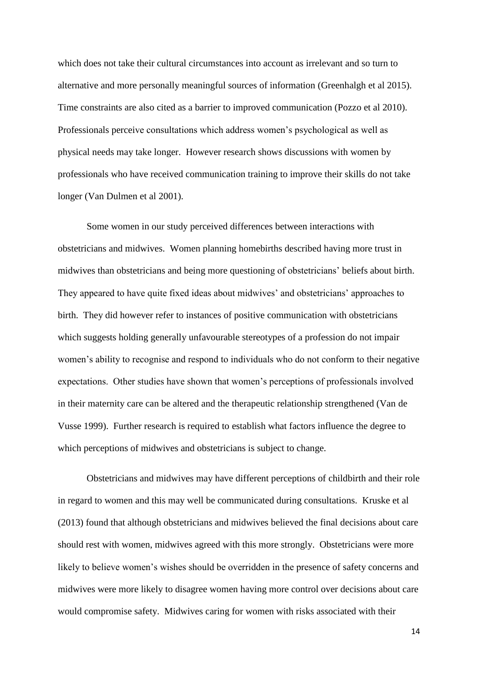which does not take their cultural circumstances into account as irrelevant and so turn to alternative and more personally meaningful sources of information (Greenhalgh et al 2015). Time constraints are also cited as a barrier to improved communication (Pozzo et al 2010). Professionals perceive consultations which address women's psychological as well as physical needs may take longer. However research shows discussions with women by professionals who have received communication training to improve their skills do not take longer (Van Dulmen et al 2001).

Some women in our study perceived differences between interactions with obstetricians and midwives. Women planning homebirths described having more trust in midwives than obstetricians and being more questioning of obstetricians' beliefs about birth. They appeared to have quite fixed ideas about midwives' and obstetricians' approaches to birth. They did however refer to instances of positive communication with obstetricians which suggests holding generally unfavourable stereotypes of a profession do not impair women's ability to recognise and respond to individuals who do not conform to their negative expectations. Other studies have shown that women's perceptions of professionals involved in their maternity care can be altered and the therapeutic relationship strengthened (Van de Vusse 1999). Further research is required to establish what factors influence the degree to which perceptions of midwives and obstetricians is subject to change.

Obstetricians and midwives may have different perceptions of childbirth and their role in regard to women and this may well be communicated during consultations. Kruske et al (2013) found that although obstetricians and midwives believed the final decisions about care should rest with women, midwives agreed with this more strongly. Obstetricians were more likely to believe women's wishes should be overridden in the presence of safety concerns and midwives were more likely to disagree women having more control over decisions about care would compromise safety. Midwives caring for women with risks associated with their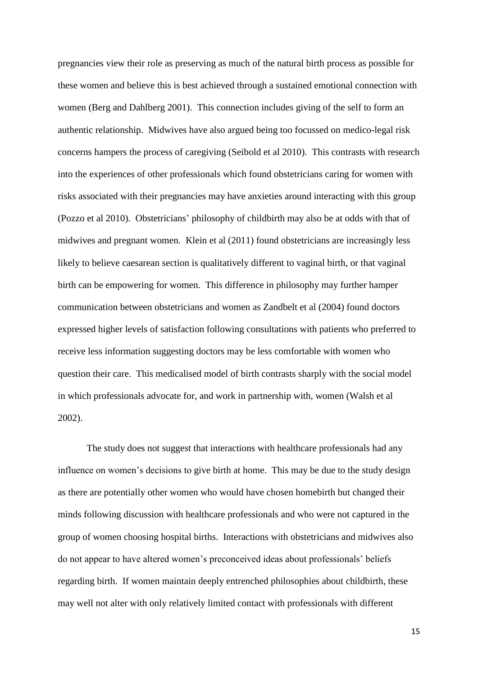pregnancies view their role as preserving as much of the natural birth process as possible for these women and believe this is best achieved through a sustained emotional connection with women (Berg and Dahlberg 2001). This connection includes giving of the self to form an authentic relationship.Midwives have also argued being too focussed on medico-legal risk concerns hampers the process of caregiving (Seibold et al 2010). This contrasts with research into the experiences of other professionals which found obstetricians caring for women with risks associated with their pregnancies may have anxieties around interacting with this group (Pozzo et al 2010). Obstetricians' philosophy of childbirth may also be at odds with that of midwives and pregnant women. Klein et al (2011) found obstetricians are increasingly less likely to believe caesarean section is qualitatively different to vaginal birth, or that vaginal birth can be empowering for women. This difference in philosophy may further hamper communication between obstetricians and women as Zandbelt et al (2004) found doctors expressed higher levels of satisfaction following consultations with patients who preferred to receive less information suggesting doctors may be less comfortable with women who question their care. This medicalised model of birth contrasts sharply with the social model in which professionals advocate for, and work in partnership with, women (Walsh et al 2002).

The study does not suggest that interactions with healthcare professionals had any influence on women's decisions to give birth at home. This may be due to the study design as there are potentially other women who would have chosen homebirth but changed their minds following discussion with healthcare professionals and who were not captured in the group of women choosing hospital births. Interactions with obstetricians and midwives also do not appear to have altered women's preconceived ideas about professionals' beliefs regarding birth. If women maintain deeply entrenched philosophies about childbirth, these may well not alter with only relatively limited contact with professionals with different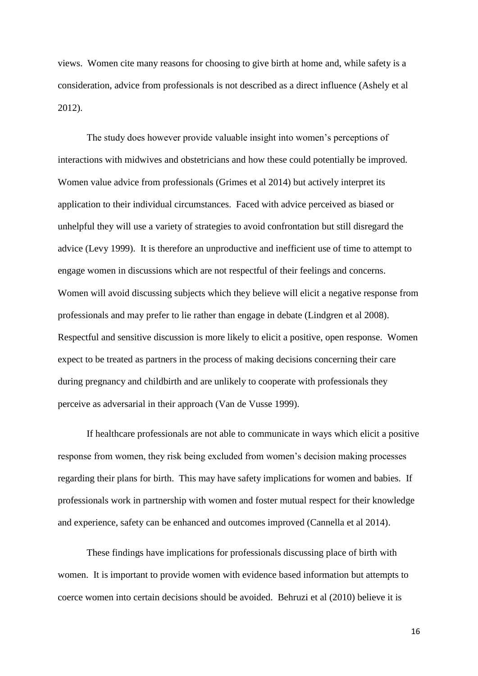views. Women cite many reasons for choosing to give birth at home and, while safety is a consideration, advice from professionals is not described as a direct influence (Ashely et al 2012).

The study does however provide valuable insight into women's perceptions of interactions with midwives and obstetricians and how these could potentially be improved. Women value advice from professionals (Grimes et al 2014) but actively interpret its application to their individual circumstances. Faced with advice perceived as biased or unhelpful they will use a variety of strategies to avoid confrontation but still disregard the advice (Levy 1999). It is therefore an unproductive and inefficient use of time to attempt to engage women in discussions which are not respectful of their feelings and concerns. Women will avoid discussing subjects which they believe will elicit a negative response from professionals and may prefer to lie rather than engage in debate (Lindgren et al 2008). Respectful and sensitive discussion is more likely to elicit a positive, open response. Women expect to be treated as partners in the process of making decisions concerning their care during pregnancy and childbirth and are unlikely to cooperate with professionals they perceive as adversarial in their approach (Van de Vusse 1999).

If healthcare professionals are not able to communicate in ways which elicit a positive response from women, they risk being excluded from women's decision making processes regarding their plans for birth. This may have safety implications for women and babies. If professionals work in partnership with women and foster mutual respect for their knowledge and experience, safety can be enhanced and outcomes improved (Cannella et al 2014).

These findings have implications for professionals discussing place of birth with women. It is important to provide women with evidence based information but attempts to coerce women into certain decisions should be avoided.Behruzi et al (2010) believe it is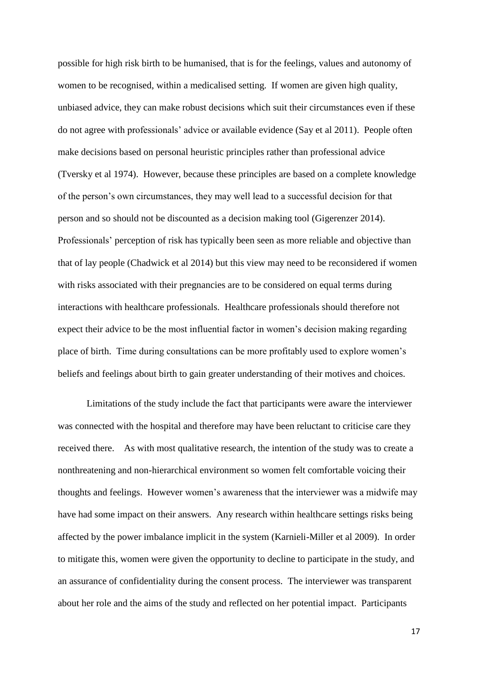possible for high risk birth to be humanised, that is for the feelings, values and autonomy of women to be recognised, within a medicalised setting. If women are given high quality, unbiased advice, they can make robust decisions which suit their circumstances even if these do not agree with professionals' advice or available evidence (Say et al 2011). People often make decisions based on personal heuristic principles rather than professional advice (Tversky et al 1974). However, because these principles are based on a complete knowledge of the person's own circumstances, they may well lead to a successful decision for that person and so should not be discounted as a decision making tool (Gigerenzer 2014). Professionals' perception of risk has typically been seen as more reliable and objective than that of lay people (Chadwick et al 2014) but this view may need to be reconsidered if women with risks associated with their pregnancies are to be considered on equal terms during interactions with healthcare professionals. Healthcare professionals should therefore not expect their advice to be the most influential factor in women's decision making regarding place of birth. Time during consultations can be more profitably used to explore women's beliefs and feelings about birth to gain greater understanding of their motives and choices.

Limitations of the study include the fact that participants were aware the interviewer was connected with the hospital and therefore may have been reluctant to criticise care they received there. As with most qualitative research, the intention of the study was to create a nonthreatening and non-hierarchical environment so women felt comfortable voicing their thoughts and feelings. However women's awareness that the interviewer was a midwife may have had some impact on their answers. Any research within healthcare settings risks being affected by the power imbalance implicit in the system (Karnieli-Miller et al 2009). In order to mitigate this, women were given the opportunity to decline to participate in the study, and an assurance of confidentiality during the consent process. The interviewer was transparent about her role and the aims of the study and reflected on her potential impact. Participants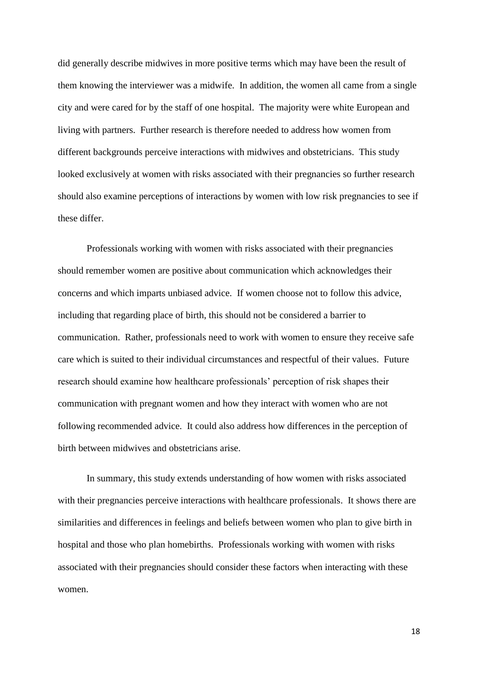did generally describe midwives in more positive terms which may have been the result of them knowing the interviewer was a midwife. In addition, the women all came from a single city and were cared for by the staff of one hospital. The majority were white European and living with partners. Further research is therefore needed to address how women from different backgrounds perceive interactions with midwives and obstetricians. This study looked exclusively at women with risks associated with their pregnancies so further research should also examine perceptions of interactions by women with low risk pregnancies to see if these differ.

Professionals working with women with risks associated with their pregnancies should remember women are positive about communication which acknowledges their concerns and which imparts unbiased advice. If women choose not to follow this advice, including that regarding place of birth, this should not be considered a barrier to communication. Rather, professionals need to work with women to ensure they receive safe care which is suited to their individual circumstances and respectful of their values. Future research should examine how healthcare professionals' perception of risk shapes their communication with pregnant women and how they interact with women who are not following recommended advice. It could also address how differences in the perception of birth between midwives and obstetricians arise.

In summary, this study extends understanding of how women with risks associated with their pregnancies perceive interactions with healthcare professionals. It shows there are similarities and differences in feelings and beliefs between women who plan to give birth in hospital and those who plan homebirths. Professionals working with women with risks associated with their pregnancies should consider these factors when interacting with these women.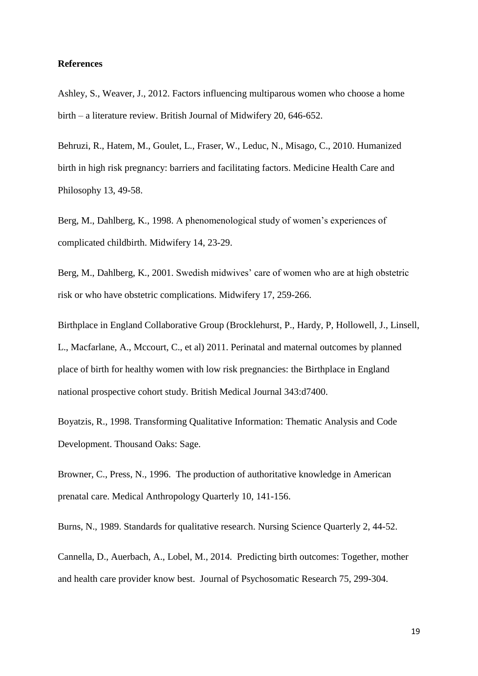#### **References**

Ashley, S., Weaver, J., 2012. Factors influencing multiparous women who choose a home birth – a literature review. British Journal of Midwifery 20, 646-652.

Behruzi, R., Hatem, M., Goulet, L., Fraser, W., Leduc, N., Misago, C., 2010. Humanized birth in high risk pregnancy: barriers and facilitating factors. Medicine Health Care and Philosophy 13, 49-58.

Berg, M., Dahlberg, K., 1998. A phenomenological study of women's experiences of complicated childbirth. Midwifery 14, 23-29.

Berg, M., Dahlberg, K., 2001. Swedish midwives' care of women who are at high obstetric risk or who have obstetric complications. Midwifery 17, 259-266.

Birthplace in England Collaborative Group (Brocklehurst, P., Hardy, P, Hollowell, J., Linsell, L., Macfarlane, A., Mccourt, C., et al) 2011. Perinatal and maternal outcomes by planned place of birth for healthy women with low risk pregnancies: the Birthplace in England national prospective cohort study. British Medical Journal 343:d7400.

Boyatzis, R., 1998. Transforming Qualitative Information: Thematic Analysis and Code Development. Thousand Oaks: Sage.

Browner, C., Press, N., 1996. The production of authoritative knowledge in American prenatal care. Medical Anthropology Quarterly 10, 141-156.

Burns, N., 1989. Standards for qualitative research. Nursing Science Quarterly 2, 44-52.

Cannella, D., Auerbach, A., Lobel, M., 2014. Predicting birth outcomes: Together, mother and health care provider know best. Journal of Psychosomatic Research 75, 299-304.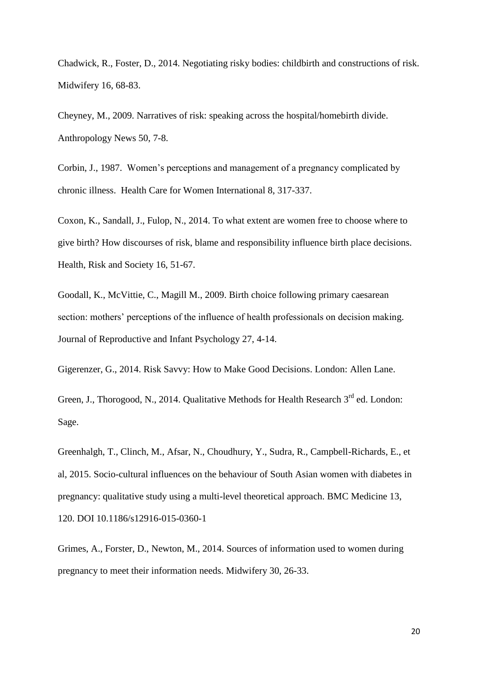Chadwick, R., Foster, D., 2014. Negotiating risky bodies: childbirth and constructions of risk. Midwifery 16, 68-83.

Cheyney, M., 2009. Narratives of risk: speaking across the hospital/homebirth divide. Anthropology News 50, 7-8.

Corbin, J., 1987. Women's perceptions and management of a pregnancy complicated by chronic illness. Health Care for Women International 8, 317-337.

Coxon, K., Sandall, J., Fulop, N., 2014. To what extent are women free to choose where to give birth? How discourses of risk, blame and responsibility influence birth place decisions. Health, Risk and Society 16, 51-67.

Goodall, K., McVittie, C., Magill M., 2009. Birth choice following primary caesarean section: mothers' perceptions of the influence of health professionals on decision making. Journal of Reproductive and Infant Psychology 27, 4-14.

Gigerenzer, G., 2014. Risk Savvy: How to Make Good Decisions. London: Allen Lane.

Green, J., Thorogood, N., 2014. Qualitative Methods for Health Research 3<sup>rd</sup> ed. London: Sage.

Greenhalgh, T., Clinch, M., Afsar, N., Choudhury, Y., Sudra, R., Campbell-Richards, E., et al, 2015. Socio-cultural influences on the behaviour of South Asian women with diabetes in pregnancy: qualitative study using a multi-level theoretical approach. BMC Medicine 13, 120. DOI 10.1186/s12916-015-0360-1

Grimes, A., Forster, D., Newton, M., 2014. Sources of information used to women during pregnancy to meet their information needs. Midwifery 30, 26-33.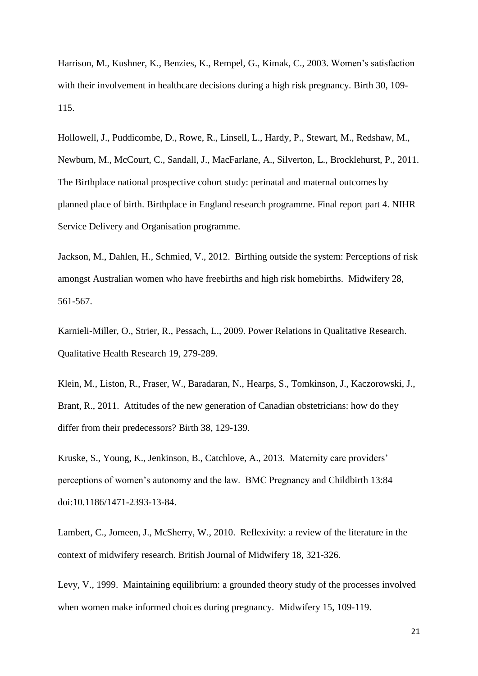Harrison, M., Kushner, K., Benzies, K., Rempel, G., Kimak, C., 2003. Women's satisfaction with their involvement in healthcare decisions during a high risk pregnancy. Birth 30, 109- 115.

Hollowell, J., Puddicombe, D., Rowe, R., Linsell, L., Hardy, P., Stewart, M., Redshaw, M., Newburn, M., McCourt, C., Sandall, J., MacFarlane, A., Silverton, L., Brocklehurst, P., 2011. The Birthplace national prospective cohort study: perinatal and maternal outcomes by planned place of birth. Birthplace in England research programme. Final report part 4. NIHR Service Delivery and Organisation programme.

Jackson, M., Dahlen, H., Schmied, V., 2012. Birthing outside the system: Perceptions of risk amongst Australian women who have freebirths and high risk homebirths. Midwifery 28, 561-567.

Karnieli-Miller, O., Strier, R., Pessach, L., 2009. Power Relations in Qualitative Research. Qualitative Health Research 19, 279-289.

Klein, M., Liston, R., Fraser, W., Baradaran, N., Hearps, S., Tomkinson, J., Kaczorowski, J., Brant, R., 2011. Attitudes of the new generation of Canadian obstetricians: how do they differ from their predecessors? Birth 38, 129-139.

Kruske, S., Young, K., Jenkinson, B., Catchlove, A., 2013. Maternity care providers' perceptions of women's autonomy and the law. BMC Pregnancy and Childbirth 13:84 doi:10.1186/1471-2393-13-84.

Lambert, C., Jomeen, J., McSherry, W., 2010. Reflexivity: a review of the literature in the context of midwifery research. British Journal of Midwifery 18, 321-326.

Levy, V., 1999. Maintaining equilibrium: a grounded theory study of the processes involved when women make informed choices during pregnancy. Midwifery 15, 109-119.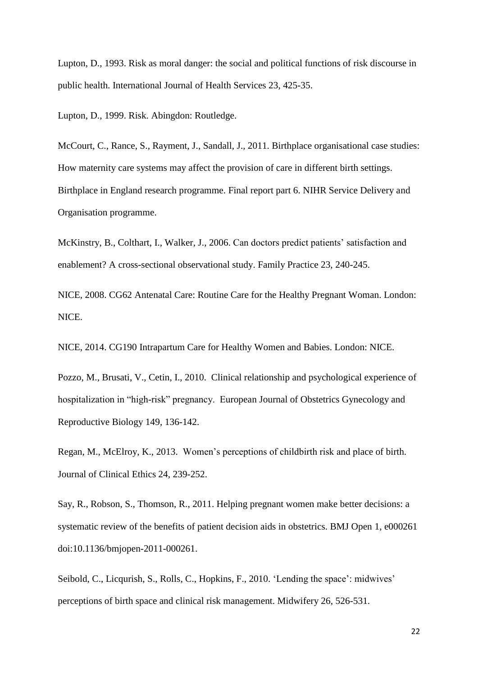Lupton, D., 1993. Risk as moral danger: the social and political functions of risk discourse in public health. International Journal of Health Services 23, 425-35.

Lupton, D., 1999. Risk. Abingdon: Routledge.

McCourt, C., Rance, S., Rayment, J., Sandall, J., 2011. Birthplace organisational case studies: How maternity care systems may affect the provision of care in different birth settings. Birthplace in England research programme. Final report part 6. NIHR Service Delivery and Organisation programme.

McKinstry, B., Colthart, I., Walker, J., 2006. Can doctors predict patients' satisfaction and enablement? A cross-sectional observational study. Family Practice 23, 240-245.

NICE, 2008. CG62 Antenatal Care: Routine Care for the Healthy Pregnant Woman. London: NICE.

NICE, 2014. CG190 Intrapartum Care for Healthy Women and Babies. London: NICE.

Pozzo, M., Brusati, V., Cetin, I., 2010. Clinical relationship and psychological experience of hospitalization in "high-risk" pregnancy. European Journal of Obstetrics Gynecology and Reproductive Biology 149, 136-142.

Regan, M., McElroy, K., 2013. Women's perceptions of childbirth risk and place of birth. Journal of Clinical Ethics 24, 239-252.

Say, R., Robson, S., Thomson, R., 2011. Helping pregnant women make better decisions: a systematic review of the benefits of patient decision aids in obstetrics. BMJ Open 1, e000261 doi:10.1136/bmjopen-2011-000261.

Seibold, C., Licqurish, S., Rolls, C., Hopkins, F., 2010. 'Lending the space': midwives' perceptions of birth space and clinical risk management. Midwifery 26, 526-531.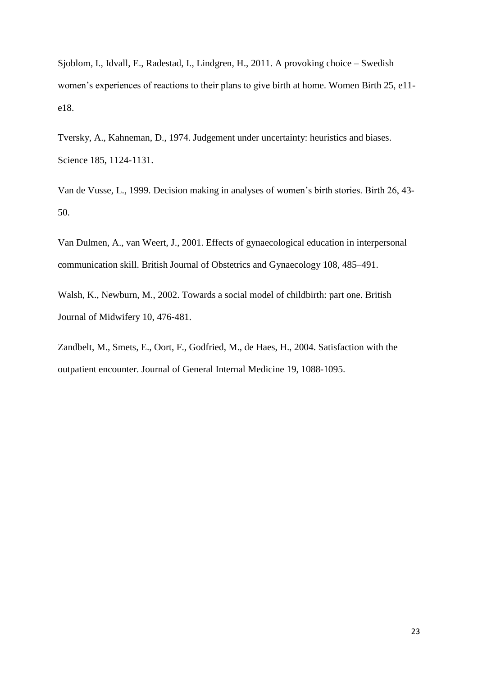Sjoblom, I., Idvall, E., Radestad, I., Lindgren, H., 2011. A provoking choice – Swedish women's experiences of reactions to their plans to give birth at home. Women Birth 25, e11 e18.

Tversky, A., Kahneman, D., 1974. Judgement under uncertainty: heuristics and biases. Science 185, 1124-1131.

Van de Vusse, L., 1999. Decision making in analyses of women's birth stories. Birth 26, 43- 50.

Van Dulmen, A., van Weert, J., 2001. Effects of gynaecological education in interpersonal communication skill. British Journal of Obstetrics and Gynaecology 108, 485–491.

Walsh, K., Newburn, M., 2002. Towards a social model of childbirth: part one. British Journal of Midwifery 10, 476-481.

Zandbelt, M., Smets, E., Oort, F., Godfried, M., de Haes, H., 2004. Satisfaction with the outpatient encounter. Journal of General Internal Medicine 19, 1088-1095.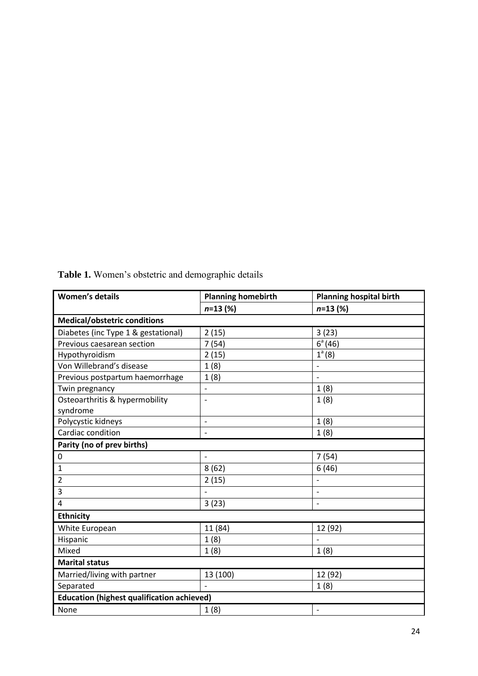| <b>Women's details</b>                            | <b>Planning homebirth</b><br>$n=13(%)$ | <b>Planning hospital birth</b><br>$n=13(%)$ |
|---------------------------------------------------|----------------------------------------|---------------------------------------------|
|                                                   |                                        |                                             |
| Diabetes (inc Type 1 & gestational)               | 2(15)                                  | 3(23)                                       |
| Previous caesarean section                        | 7(54)                                  | $6^{\degree}(46)$                           |
| Hypothyroidism                                    | 2(15)                                  | $1^a(8)$                                    |
| Von Willebrand's disease                          | 1(8)                                   | $\overline{a}$                              |
| Previous postpartum haemorrhage                   | 1(8)                                   |                                             |
| Twin pregnancy                                    | $\overline{a}$                         | 1(8)                                        |
| Osteoarthritis & hypermobility                    | $\overline{a}$                         | 1(8)                                        |
| syndrome                                          |                                        |                                             |
| Polycystic kidneys                                | $\overline{a}$                         | 1(8)                                        |
| Cardiac condition                                 | $\overline{a}$                         | 1(8)                                        |
| Parity (no of prev births)                        |                                        |                                             |
| $\mathbf 0$                                       | $\overline{a}$                         | 7(54)                                       |
| 1                                                 | 8(62)                                  | 6(46)                                       |
| 2                                                 | 2(15)                                  | $\overline{a}$                              |
| 3                                                 |                                        | $\overline{a}$                              |
| 4                                                 | 3(23)                                  |                                             |
| <b>Ethnicity</b>                                  |                                        |                                             |
| White European                                    | 11 (84)                                | 12 (92)                                     |
| Hispanic                                          | 1(8)                                   |                                             |
| Mixed                                             | 1(8)                                   | 1(8)                                        |
| <b>Marital status</b>                             |                                        |                                             |
| Married/living with partner                       | 13 (100)                               | 12 (92)                                     |
| Separated                                         |                                        | 1(8)                                        |
| <b>Education (highest qualification achieved)</b> |                                        |                                             |
| None                                              | 1(8)                                   | $\overline{\phantom{a}}$                    |
|                                                   |                                        |                                             |

**Table 1.** Women's obstetric and demographic details